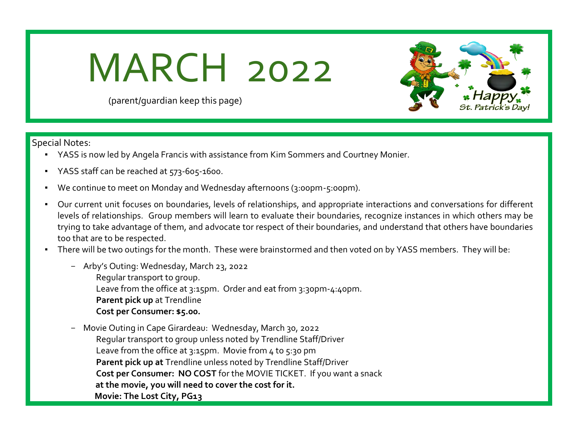## MARCH 2022



(parent/guardian keep this page)

Special Notes:

- YASS is now led by Angela Francis with assistance from Kim Sommers and Courtney Monier.
- YASS staff can be reached at 573-605-1600.
- We continue to meet on Monday and Wednesday afternoons (3:00pm-5:00pm).
- Our current unit focuses on boundaries, levels of relationships, and appropriate interactions and conversations for different levels of relationships. Group members will learn to evaluate their boundaries, recognize instances in which others may be trying to take advantage of them, and advocate tor respect of their boundaries, and understand that others have boundaries too that are to be respected.
- There will be two outings for the month. These were brainstormed and then voted on by YASS members. They will be:
	- Arby's Outing: Wednesday, March 23, 2022
		- Regular transport to group. Leave from the office at 3:15pm. Order and eat from 3:30pm-4:40pm. **Parent pick up** at Trendline **Cost per Consumer: \$5.00.**
	- Movie Outing in Cape Girardeau: Wednesday, March 30, 2022 Regular transport to group unless noted by Trendline Staff/Driver Leave from the office at 3:15pm. Movie from 4 to 5:30 pm **Parent pick up at** Trendline unless noted by Trendline Staff/Driver **Cost per Consumer: NO COST** for the MOVIE TICKET. If you want a snack  **at the movie, you will need to cover the cost for it. Movie: The Lost City, PG13**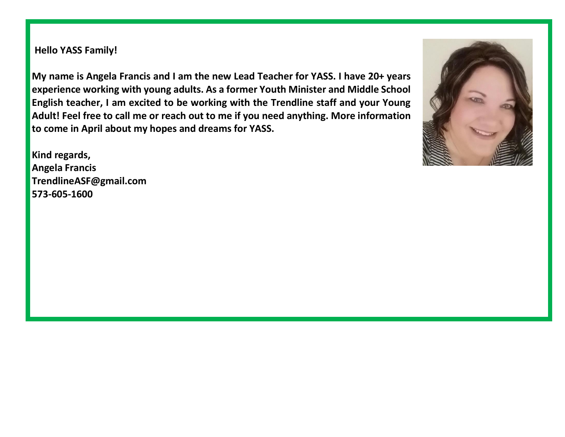**Hello YASS Family!**

**My name is Angela Francis and I am the new Lead Teacher for YASS. I have 20+ years experience working with young adults. As a former Youth Minister and Middle School English teacher, I am excited to be working with the Trendline staff and your Young Adult! Feel free to call me or reach out to me if you need anything. More information to come in April about my hopes and dreams for YASS.** 

**Kind regards, Angela Francis [TrendlineASF@gmail.com](mailto:TrendlineASF@gmail.com) 573-605-1600**

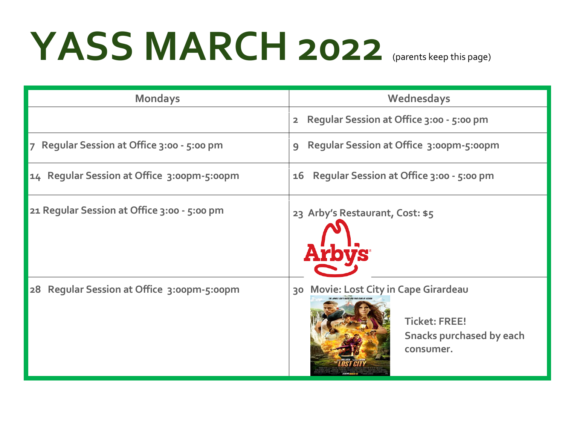## YASS MARCH 2022 (parents keep this page)

| <b>Mondays</b>                              | Wednesdays                                                                                                    |  |
|---------------------------------------------|---------------------------------------------------------------------------------------------------------------|--|
|                                             | Regular Session at Office 3:00 - 5:00 pm<br>$\overline{\mathbf{2}}$                                           |  |
| 7 Regular Session at Office 3:00 - 5:00 pm  | <b>Regular Session at Office 3:00pm-5:00pm</b><br>$\mathbf{Q}$                                                |  |
| 14 Regular Session at Office 3:00pm-5:00pm  | Regular Session at Office 3:00 - 5:00 pm<br>16                                                                |  |
| 21 Regular Session at Office 3:00 - 5:00 pm | 23 Arby's Restaurant, Cost: \$5                                                                               |  |
| 28 Regular Session at Office 3:00pm-5:00pm  | 30 Movie: Lost City in Cape Girardeau<br><b>Ticket: FREE!</b><br><b>Snacks purchased by each</b><br>consumer. |  |